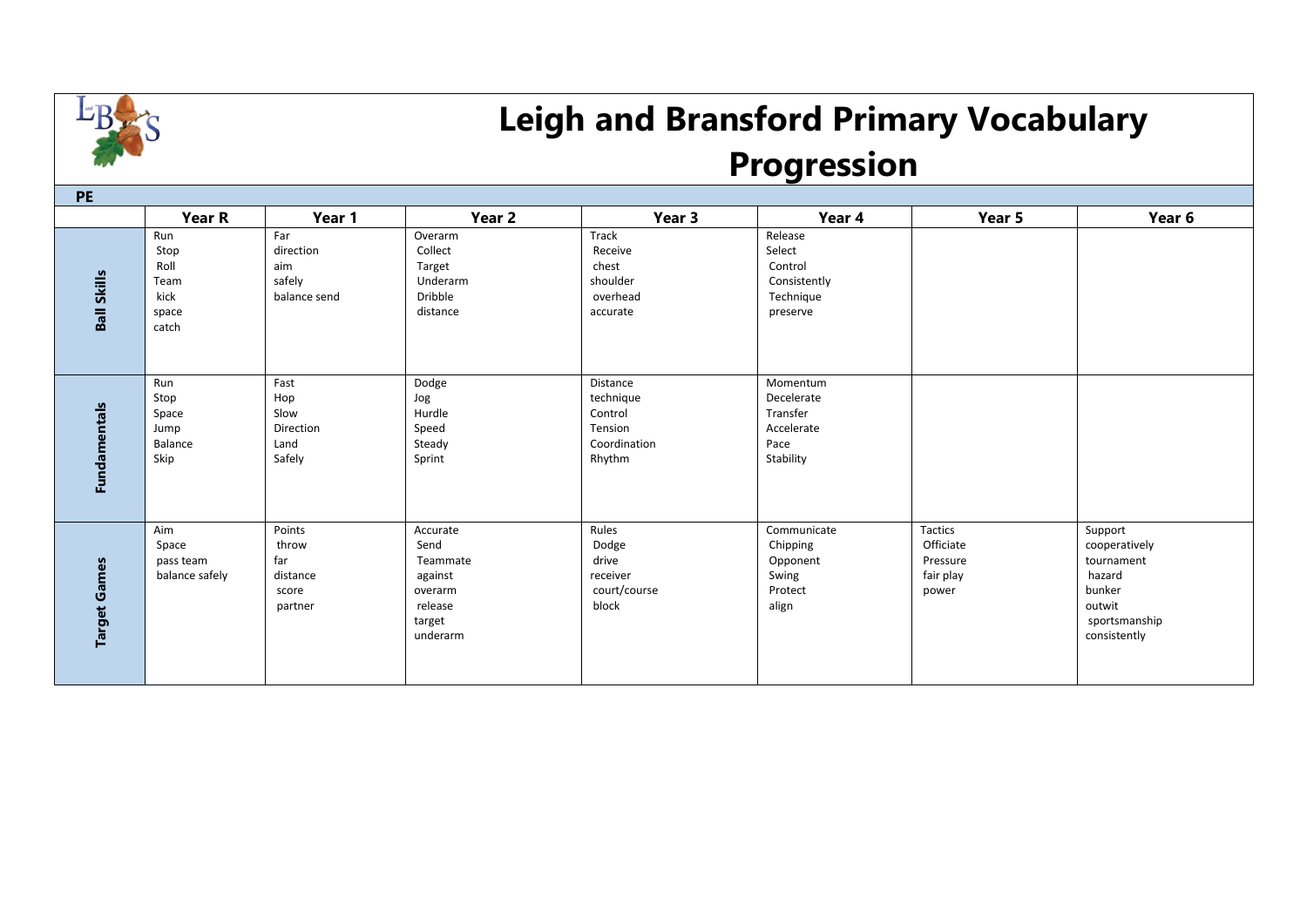

## **Leigh and Bransford Primary Vocabulary Progression**

| PE                  |                                                       |                                                        |                                                                                     |                                                                       |                                                                       |                                                        |                                                                                                       |  |  |
|---------------------|-------------------------------------------------------|--------------------------------------------------------|-------------------------------------------------------------------------------------|-----------------------------------------------------------------------|-----------------------------------------------------------------------|--------------------------------------------------------|-------------------------------------------------------------------------------------------------------|--|--|
|                     | Year R                                                | Year 1                                                 | Year 2                                                                              | Year 3                                                                | Year 4                                                                | Year 5                                                 | Year 6                                                                                                |  |  |
| <b>Ball Skills</b>  | Run<br>Stop<br>Roll<br>Team<br>kick<br>space<br>catch | Far<br>direction<br>aim<br>safely<br>balance send      | Overarm<br>Collect<br>Target<br>Underarm<br>Dribble<br>distance                     | Track<br>Receive<br>chest<br>shoulder<br>overhead<br>accurate         | Release<br>Select<br>Control<br>Consistently<br>Technique<br>preserve |                                                        |                                                                                                       |  |  |
| <b>Fundamentals</b> | Run<br>Stop<br>Space<br>Jump<br>Balance<br>Skip       | Fast<br>Hop<br>Slow<br>Direction<br>Land<br>Safely     | Dodge<br>Jog<br>Hurdle<br>Speed<br>Steady<br>Sprint                                 | Distance<br>technique<br>Control<br>Tension<br>Coordination<br>Rhythm | Momentum<br>Decelerate<br>Transfer<br>Accelerate<br>Pace<br>Stability |                                                        |                                                                                                       |  |  |
| <b>Target Games</b> | Aim<br>Space<br>pass team<br>balance safely           | Points<br>throw<br>far<br>distance<br>score<br>partner | Accurate<br>Send<br>Teammate<br>against<br>overarm<br>release<br>target<br>underarm | Rules<br>Dodge<br>drive<br>receiver<br>court/course<br>block          | Communicate<br>Chipping<br>Opponent<br>Swing<br>Protect<br>align      | Tactics<br>Officiate<br>Pressure<br>fair play<br>power | Support<br>cooperatively<br>tournament<br>hazard<br>bunker<br>outwit<br>sportsmanship<br>consistently |  |  |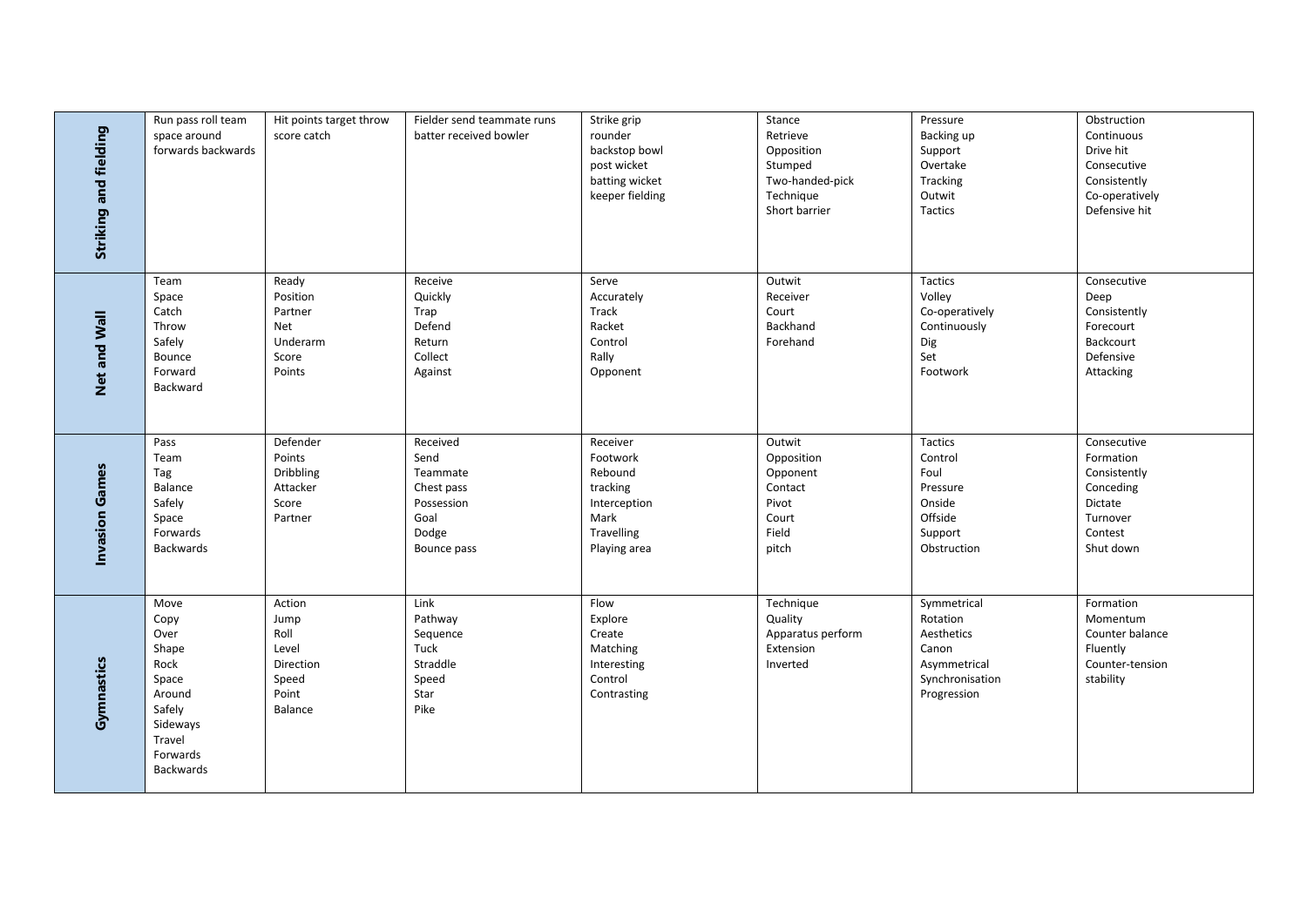| Striking and fielding | Run pass roll team<br>space around<br>forwards backwards                                                                 | Hit points target throw<br>score catch                                    | Fielder send teammate runs<br>batter received bowler                                     | Strike grip<br>rounder<br>backstop bowl<br>post wicket<br>batting wicket<br>keeper fielding              | Stance<br>Retrieve<br>Opposition<br>Stumped<br>Two-handed-pick<br>Technique<br>Short barrier | Pressure<br>Backing up<br>Support<br>Overtake<br>Tracking<br>Outwit<br>Tactics                   | Obstruction<br>Continuous<br>Drive hit<br>Consecutive<br>Consistently<br>Co-operatively<br>Defensive hit |
|-----------------------|--------------------------------------------------------------------------------------------------------------------------|---------------------------------------------------------------------------|------------------------------------------------------------------------------------------|----------------------------------------------------------------------------------------------------------|----------------------------------------------------------------------------------------------|--------------------------------------------------------------------------------------------------|----------------------------------------------------------------------------------------------------------|
| Net and Wall          | Team<br>Space<br>Catch<br>Throw<br>Safely<br>Bounce<br>Forward<br>Backward                                               | Ready<br>Position<br>Partner<br>Net<br>Underarm<br>Score<br>Points        | Receive<br>Quickly<br>Trap<br>Defend<br>Return<br>Collect<br>Against                     | Serve<br>Accurately<br>Track<br>Racket<br>Control<br>Rally<br>Opponent                                   | Outwit<br>Receiver<br>Court<br>Backhand<br>Forehand                                          | Tactics<br>Volley<br>Co-operatively<br>Continuously<br>Dig<br>Set<br>Footwork                    | Consecutive<br>Deep<br>Consistently<br>Forecourt<br>Backcourt<br>Defensive<br>Attacking                  |
| <b>Invasion Games</b> | Pass<br>Team<br>Tag<br>Balance<br>Safely<br>Space<br>Forwards<br>Backwards                                               | Defender<br>Points<br>Dribbling<br>Attacker<br>Score<br>Partner           | Received<br>Send<br>Teammate<br>Chest pass<br>Possession<br>Goal<br>Dodge<br>Bounce pass | Receiver<br>Footwork<br>Rebound<br>tracking<br>Interception<br>Mark<br><b>Travelling</b><br>Playing area | Outwit<br>Opposition<br>Opponent<br>Contact<br>Pivot<br>Court<br>Field<br>pitch              | Tactics<br>Control<br>Foul<br>Pressure<br>Onside<br>Offside<br>Support<br>Obstruction            | Consecutive<br>Formation<br>Consistently<br>Conceding<br>Dictate<br>Turnover<br>Contest<br>Shut down     |
| Gymnastics            | Move<br>Copy<br>Over<br>Shape<br>Rock<br>Space<br>Around<br>Safely<br>Sideways<br>Travel<br>Forwards<br><b>Backwards</b> | Action<br>Jump<br>Roll<br>Level<br>Direction<br>Speed<br>Point<br>Balance | Link<br>Pathway<br>Sequence<br>Tuck<br>Straddle<br>Speed<br>Star<br>Pike                 | Flow<br>Explore<br>Create<br>Matching<br>Interesting<br>Control<br>Contrasting                           | Technique<br>Quality<br>Apparatus perform<br>Extension<br>Inverted                           | Symmetrical<br>Rotation<br>Aesthetics<br>Canon<br>Asymmetrical<br>Synchronisation<br>Progression | Formation<br>Momentum<br>Counter balance<br>Fluently<br>Counter-tension<br>stability                     |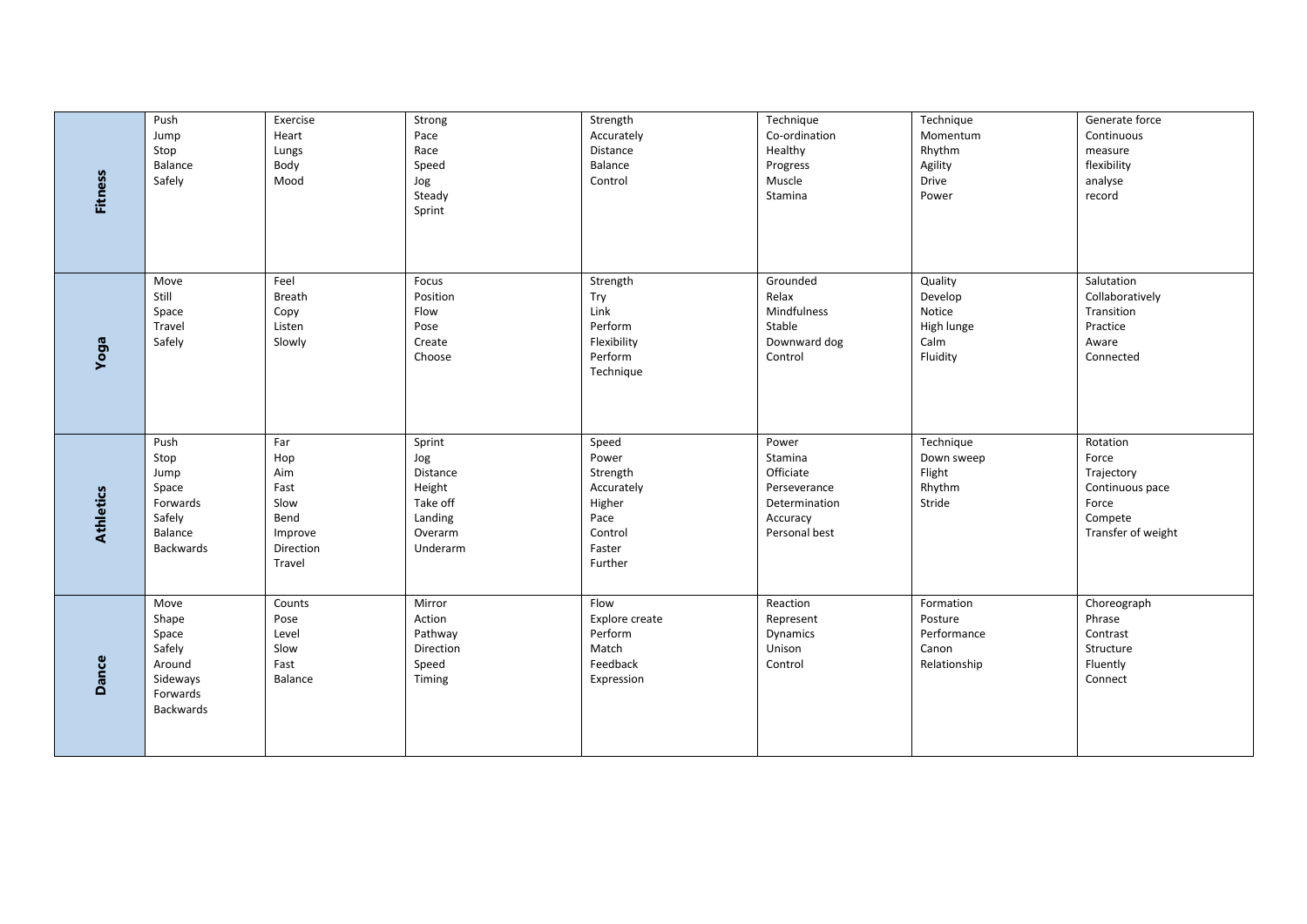|                  | Push      | Exercise  | Strong    | Strength       | Technique     | Technique    | Generate force     |
|------------------|-----------|-----------|-----------|----------------|---------------|--------------|--------------------|
|                  | Jump      | Heart     | Pace      | Accurately     | Co-ordination | Momentum     | Continuous         |
|                  | Stop      | Lungs     | Race      | Distance       | Healthy       | Rhythm       | measure            |
|                  | Balance   | Body      | Speed     | Balance        | Progress      | Agility      | flexibility        |
| <b>Fitness</b>   | Safely    | Mood      | Jog       | Control        | Muscle        | <b>Drive</b> | analyse            |
|                  |           |           | Steady    |                | Stamina       | Power        | record             |
|                  |           |           | Sprint    |                |               |              |                    |
|                  |           |           |           |                |               |              |                    |
|                  |           |           |           |                |               |              |                    |
|                  |           |           |           |                |               |              |                    |
|                  | Move      | Feel      | Focus     | Strength       | Grounded      | Quality      | Salutation         |
|                  | Still     | Breath    | Position  | Try            | Relax         | Develop      | Collaboratively    |
|                  | Space     | Copy      | Flow      | Link           | Mindfulness   | Notice       | Transition         |
|                  | Travel    | Listen    | Pose      | Perform        | Stable        | High lunge   | Practice           |
|                  | Safely    | Slowly    | Create    | Flexibility    | Downward dog  | Calm         | Aware              |
| Yoga             |           |           | Choose    | Perform        | Control       | Fluidity     | Connected          |
|                  |           |           |           | Technique      |               |              |                    |
|                  |           |           |           |                |               |              |                    |
|                  |           |           |           |                |               |              |                    |
|                  |           |           |           |                |               |              |                    |
|                  |           |           |           |                |               |              |                    |
|                  | Push      | Far       | Sprint    | Speed          | Power         | Technique    | Rotation           |
|                  | Stop      | Hop       | Jog       | Power          | Stamina       | Down sweep   | Force              |
|                  | Jump      | Aim       | Distance  | Strength       | Officiate     | Flight       | Trajectory         |
|                  | Space     | Fast      | Height    | Accurately     | Perseverance  | Rhythm       | Continuous pace    |
|                  | Forwards  | Slow      | Take off  | Higher         | Determination | Stride       | Force              |
| <b>Athletics</b> | Safely    | Bend      | Landing   | Pace           | Accuracy      |              | Compete            |
|                  | Balance   | Improve   | Overarm   | Control        | Personal best |              | Transfer of weight |
|                  | Backwards | Direction | Underarm  | Faster         |               |              |                    |
|                  |           | Travel    |           | Further        |               |              |                    |
|                  |           |           |           |                |               |              |                    |
|                  | Move      | Counts    | Mirror    | Flow           | Reaction      | Formation    | Choreograph        |
|                  | Shape     | Pose      | Action    | Explore create | Represent     | Posture      | Phrase             |
|                  | Space     | Level     | Pathway   | Perform        | Dynamics      | Performance  | Contrast           |
|                  | Safely    | Slow      | Direction | Match          | Unison        | Canon        | Structure          |
|                  | Around    | Fast      | Speed     | Feedback       | Control       | Relationship | Fluently           |
|                  | Sideways  | Balance   | Timing    | Expression     |               |              | Connect            |
|                  |           |           |           |                |               |              |                    |
|                  | Backwards |           |           |                |               |              |                    |
|                  |           |           |           |                |               |              |                    |
|                  |           |           |           |                |               |              |                    |
| Dance            | Forwards  |           |           |                |               |              |                    |